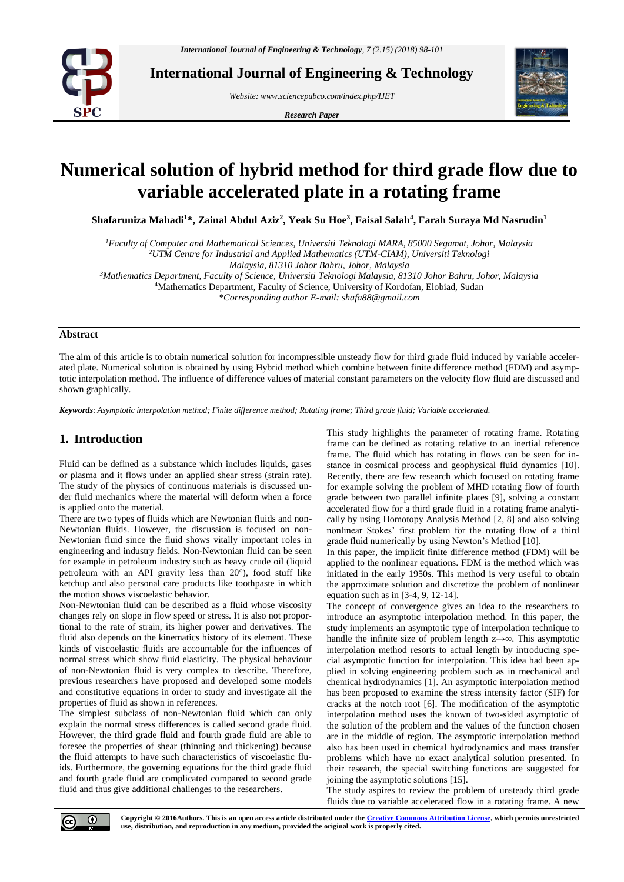

**International Journal of Engineering & Technology**

*Website: www.sciencepubco.com/index.php/IJET*

*Research Paper*



# **Numerical solution of hybrid method for third grade flow due to variable accelerated plate in a rotating frame**

**Shafaruniza Mahadi<sup>1</sup>\*, Zainal Abdul Aziz<sup>2</sup> , Yeak Su Hoe<sup>3</sup> , Faisal Salah<sup>4</sup> , Farah Suraya Md Nasrudin<sup>1</sup>**

*<sup>1</sup>Faculty of Computer and Mathematical Sciences, Universiti Teknologi MARA, 85000 Segamat, Johor, Malaysia*

*<sup>2</sup>UTM Centre for Industrial and Applied Mathematics (UTM-CIAM), Universiti Teknologi* 

*Malaysia, 81310 Johor Bahru, Johor, Malaysia*

*<sup>3</sup>Mathematics Department, Faculty of Science, Universiti Teknologi Malaysia, 81310 Johor Bahru, Johor, Malaysia*

<sup>4</sup>Mathematics Department, Faculty of Science, University of Kordofan, Elobiad, Sudan

*\*Corresponding author E-mail: shafa88@gmail.com*

#### **Abstract**

The aim of this article is to obtain numerical solution for incompressible unsteady flow for third grade fluid induced by variable accelerated plate. Numerical solution is obtained by using Hybrid method which combine between finite difference method (FDM) and asymptotic interpolation method. The influence of difference values of material constant parameters on the velocity flow fluid are discussed and shown graphically.

*Keywords*: *Asymptotic interpolation method; Finite difference method; Rotating frame; Third grade fluid; Variable accelerated.*

# **1. Introduction**

Fluid can be defined as a substance which includes liquids, gases or plasma and it flows under an applied shear stress (strain rate). The study of the physics of continuous materials is discussed under fluid mechanics where the material will deform when a force is applied onto the material.

There are two types of fluids which are Newtonian fluids and non-Newtonian fluids. However, the discussion is focused on non-Newtonian fluid since the fluid shows vitally important roles in engineering and industry fields. Non-Newtonian fluid can be seen for example in petroleum industry such as heavy crude oil (liquid petroleum with an API gravity less than 20°), food stuff like ketchup and also personal care products like toothpaste in which the motion shows viscoelastic behavior.

Non-Newtonian fluid can be described as a fluid whose viscosity changes rely on slope in flow speed or stress. It is also not proportional to the rate of strain, its higher power and derivatives. The fluid also depends on the kinematics history of its element. These kinds of viscoelastic fluids are accountable for the influences of normal stress which show fluid elasticity. The physical behaviour of non-Newtonian fluid is very complex to describe. Therefore, previous researchers have proposed and developed some models and constitutive equations in order to study and investigate all the properties of fluid as shown in references.

The simplest subclass of non-Newtonian fluid which can only explain the normal stress differences is called second grade fluid. However, the third grade fluid and fourth grade fluid are able to foresee the properties of shear (thinning and thickening) because the fluid attempts to have such characteristics of viscoelastic fluids. Furthermore, the governing equations for the third grade fluid and fourth grade fluid are complicated compared to second grade fluid and thus give additional challenges to the researchers.

This study highlights the parameter of rotating frame. Rotating frame can be defined as rotating relative to an inertial reference frame. The fluid which has rotating in flows can be seen for instance in cosmical process and geophysical fluid dynamics [10]. Recently, there are few research which focused on rotating frame for example solving the problem of MHD rotating flow of fourth grade between two parallel infinite plates [9], solving a constant accelerated flow for a third grade fluid in a rotating frame analytically by using Homotopy Analysis Method [2, 8] and also solving nonlinear Stokes' first problem for the rotating flow of a third grade fluid numerically by using Newton's Method [10].

In this paper, the implicit finite difference method (FDM) will be applied to the nonlinear equations. FDM is the method which was initiated in the early 1950s. This method is very useful to obtain the approximate solution and discretize the problem of nonlinear equation such as in [3-4, 9, 12-14].

The concept of convergence gives an idea to the researchers to introduce an asymptotic interpolation method. In this paper, the study implements an asymptotic type of interpolation technique to handle the infinite size of problem length z→∞. This asymptotic interpolation method resorts to actual length by introducing special asymptotic function for interpolation. This idea had been applied in solving engineering problem such as in mechanical and chemical hydrodynamics [1]. An asymptotic interpolation method has been proposed to examine the stress intensity factor (SIF) for cracks at the notch root [6]. The modification of the asymptotic interpolation method uses the known of two-sided asymptotic of the solution of the problem and the values of the function chosen are in the middle of region. The asymptotic interpolation method also has been used in chemical hydrodynamics and mass transfer problems which have no exact analytical solution presented. In their research, the special switching functions are suggested for joining the asymptotic solutions [15].

The study aspires to review the problem of unsteady third grade fluids due to variable accelerated flow in a rotating frame. A new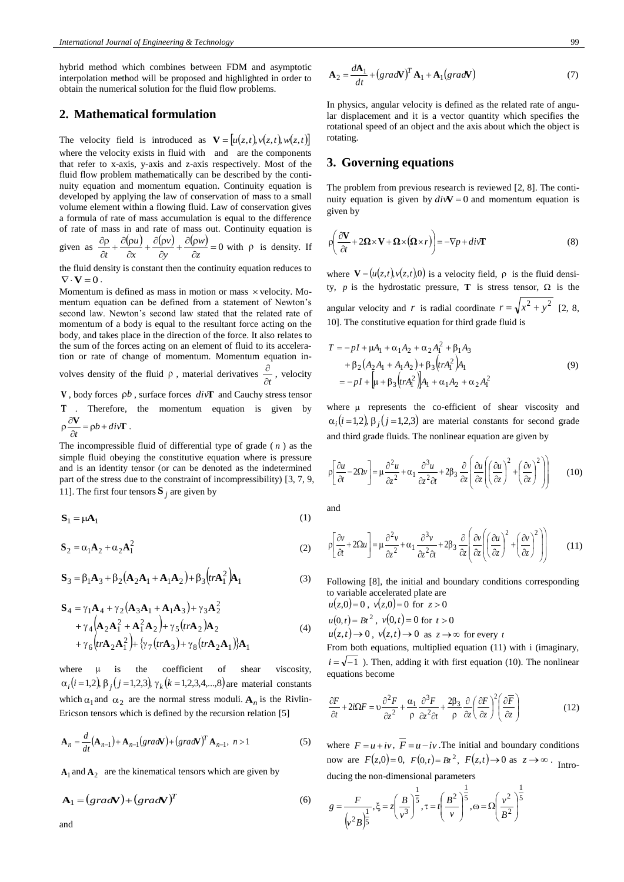hybrid method which combines between FDM and asymptotic interpolation method will be proposed and highlighted in order to obtain the numerical solution for the fluid flow problems.

## **2. Mathematical formulation**

The velocity field is introduced as  $\mathbf{V} = [u(z,t), v(z,t), w(z,t)]$ where the velocity exists in fluid with and are the components that refer to x-axis, y-axis and z-axis respectively. Most of the fluid flow problem mathematically can be described by the continuity equation and momentum equation. Continuity equation is developed by applying the law of conservation of mass to a small volume element within a flowing fluid. Law of conservation gives a formula of rate of mass accumulation is equal to the difference of rate of mass in and rate of mass out. Continuity equation is ∂ρ *w v u* **Exampled in easily determined the simulation is**  $A_2 = \frac{2\pi}{\sqrt{3}} + i p \cos A^2 \chi + \lambda_1 \chi_1 \cos N$ **<br>
<b>Exampled in the simulation**<br> **Example is one of the simulation**<br> **2. An athenoid is the simulation**<br> **2. An athenoid is \kappa** 

given as  $\frac{\partial \rho}{\partial t} + \frac{\partial (\rho u)}{\partial x} + \frac{\partial (\rho v)}{\partial y} + \frac{\partial (\rho w)}{\partial z} = 0$  $\frac{(\rho v)}{\partial y} + \frac{\partial (\rho v)}{\partial z}$  $\frac{(\rho u)}{\partial x} + \frac{\partial (\rho u)}{\partial y}$  $\frac{\partial \rho}{\partial t} + \frac{\partial (\rho)}{\partial x}$ *z y x*  $\frac{\partial}{\partial t} + \frac{\partial}{\partial x} + \frac{\partial}{\partial y} + \frac{\partial}{\partial z} = 0$  with  $\rho$  is density. If

the fluid density is constant then the continuity equation reduces to  $\nabla \cdot \mathbf{V} = 0$ .

Momentum is defined as mass in motion or mass  $\times$  velocity. Momentum equation can be defined from a statement of Newton's second law. Newton's second law stated that the related rate of momentum of a body is equal to the resultant force acting on the body, and takes place in the direction of the force. It also relates to the sum of the forces acting on an element of fluid to its acceleration or rate of change of momentum. Momentum equation in-

volves density of the fluid  $\rho$ , material derivatives  $\frac{\partial}{\partial t}$  $\frac{\partial}{\partial z}$ , velocity

**V** , body forces *b* , surface forces *div***T** and Cauchy stress tensor **T** . Therefore, the momentum equation is given by  $\frac{\partial \mathbf{V}}{\partial t} = \rho b + \frac{div\mathbf{T}}{dt}$  $\rho \frac{\partial \mathbf{V}}{\partial \mathbf{r}} = \rho b + \text{div} \mathbf{T}$ .

The incompressible fluid of differential type of grade ( *n* ) as the simple fluid obeying the constitutive equation where is pressure and is an identity tensor (or can be denoted as the indetermined part of the stress due to the constraint of incompressibility) [3, 7, 9, 11]. The first four tensors  $S_j$  are given by

$$
\mathbf{S}_1 = \mu \mathbf{A}_1 \tag{1}
$$

$$
\mathbf{S}_2 = \alpha_1 \mathbf{A}_2 + \alpha_2 \mathbf{A}_1^2 \tag{2}
$$

$$
\mathbf{S}_3 = \beta_1 \mathbf{A}_3 + \beta_2 (\mathbf{A}_2 \mathbf{A}_1 + \mathbf{A}_1 \mathbf{A}_2) + \beta_3 (tr \mathbf{A}_1^2) \mathbf{A}_1
$$
 (3)

$$
S_4 = \gamma_1 A_4 + \gamma_2 (A_3 A_1 + A_1 A_3) + \gamma_3 A_2^2
$$
  
+  $\gamma_4 (A_2 A_1^2 + A_1^2 A_2) + \gamma_5 (trA_2) A_2$   
+  $\gamma_6 (trA_2 A_1^2) + {\gamma_7 (trA_3)} + \gamma_8 (trA_2 A_1) A_1$  (4)

where  $\mu$  is the coefficient of shear viscosity,  $\alpha_i$  (*i* = 1,2),  $\beta_j$  (*j* = 1,2,3),  $\gamma_k$  (*k* = 1,2,3,4,...,8) are material constants which  $\alpha_1$  and  $\alpha_2$  are the normal stress moduli.  $\mathbf{A}_n$  is the Rivlin-Ericson tensors which is defined by the recursion relation [5]

$$
\mathbf{A}_n = \frac{d}{dt} (\mathbf{A}_{n-1}) + \mathbf{A}_{n-1} (grad \mathbf{V}) + (grad \mathbf{V})^T \mathbf{A}_{n-1}, n > 1
$$
 (5)

 $A_1$  and  $A_2$  are the kinematical tensors which are given by

$$
\mathbf{A}_1 = (grad\mathbf{V}) + (grad\mathbf{V})^T
$$
 (6)

$$
\mathbf{A}_2 = \frac{d\mathbf{A}_1}{dt} + (grad\mathbf{V})^T \mathbf{A}_1 + \mathbf{A}_1 (grad\mathbf{V})
$$
 (7)

In physics, angular velocity is defined as the related rate of angular displacement and it is a vector quantity which specifies the rotational speed of an object and the axis about which the object is rotating.

### **3. Governing equations**

The problem from previous research is reviewed [2, 8]. The continuity equation is given by  $div$ **V** = 0 and momentum equation is given by

$$
\rho \left( \frac{\partial \mathbf{V}}{\partial t} + 2\mathbf{\Omega} \times \mathbf{V} + \mathbf{\Omega} \times (\mathbf{\Omega} \times r) \right) = -\nabla p + \text{div}\mathbf{T}
$$
 (8)

where  $V = (u(z,t), v(z,t),0)$  is a velocity field,  $\rho$  is the fluid density,  $p$  is the hydrostatic pressure, **T** is stress tensor,  $\Omega$  is the angular velocity and *r* is radial coordinate  $r = \sqrt{x^2 + y^2}$  [2, 8, 10]. The constitutive equation for third grade fluid is

$$
T = -pI + \mu A_1 + \alpha_1 A_2 + \alpha_2 A_1^2 + \beta_1 A_3
$$
  
+  $\beta_2 (A_2 A_1 + A_1 A_2) + \beta_3 (r A_1^2) A_1$   
=  $-pI + \left[ \mu + \beta_3 (r A_1^2) \right] A_1 + \alpha_1 A_2 + \alpha_2 A_1^2$  (9)

where  $\mu$  represents the co-efficient of shear viscosity and  $\alpha_i$  (*i* = 1,2),  $\beta_j$  (*j* = 1,2,3) are material constants for second grade and third grade fluids. The nonlinear equation are given by

$$
\rho \left[ \frac{\partial u}{\partial t} - 2\Omega v \right] = \mu \frac{\partial^2 u}{\partial z^2} + \alpha_1 \frac{\partial^3 u}{\partial z^2 \partial t} + 2\beta_3 \frac{\partial}{\partial z} \left( \frac{\partial u}{\partial z} \left( \frac{\partial u}{\partial z} \right)^2 + \left( \frac{\partial v}{\partial z} \right)^2 \right) \tag{10}
$$

and

$$
\rho \left[ \frac{\partial v}{\partial t} + 2\Omega u \right] = \mu \frac{\partial^2 v}{\partial z^2} + \alpha_1 \frac{\partial^3 v}{\partial z^2 \partial t} + 2\beta_3 \frac{\partial}{\partial z} \left( \frac{\partial v}{\partial z} \left( \frac{\partial u}{\partial z} \right)^2 + \left( \frac{\partial v}{\partial z} \right)^2 \right) \tag{11}
$$

Following [8], the initial and boundary conditions corresponding to variable accelerated plate are

 $u(z,0) = 0$ ,  $v(z,0) = 0$  for  $z > 0$  $u(0,t) = Bt^2$ ,  $v(0,t) = 0$  for  $t > 0$  $u(z,t) \to 0$ ,  $v(z,t) \to 0$  as  $z \to \infty$  for every *t* From both equations, multiplied equation (11) with i (imaginary,  $i = \sqrt{-1}$ ). Then, adding it with first equation (10). The nonlinear equations become

$$
\frac{\partial F}{\partial t} + 2i\Omega F = v\frac{\partial^2 F}{\partial z^2} + \frac{\alpha_1}{\rho} \frac{\partial^3 F}{\partial z^2 \partial t} + \frac{2\beta_3}{\rho} \frac{\partial}{\partial z} \left(\frac{\partial F}{\partial z}\right)^2 \left(\frac{\partial \overline{F}}{\partial z}\right)
$$
(12)

where  $F = u + iv$ ,  $F = u - iv$ . The initial and boundary conditions now are  $F(z,0)=0$ ,  $F(0,t)=Bt^2$ ,  $F(z,t)\rightarrow 0$  as  $z\rightarrow \infty$ . Introducing the non-dimensional parameters

$$
g = \frac{F}{\left(v^2 B\right)^{\frac{1}{2}}}, \xi = z \left(\frac{B}{v^3}\right)^{\frac{1}{5}}, \tau = t \left(\frac{B^2}{v}\right)^{\frac{1}{5}}, \omega = \Omega \left(\frac{v^2}{B^2}\right)^{\frac{1}{5}}
$$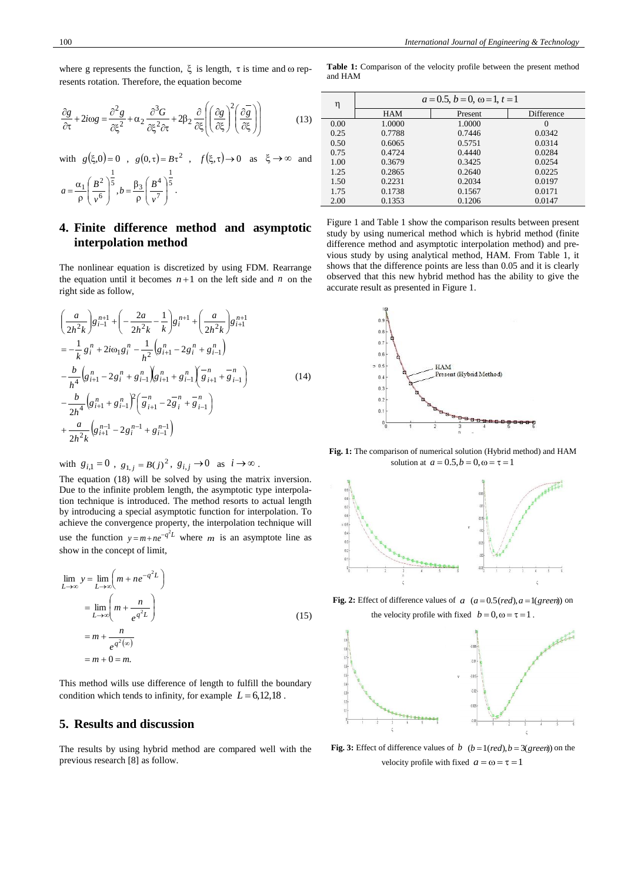where g represents the function,  $\xi$  is length,  $\tau$  is time and  $\omega$  represents rotation. Therefore, the equation become

$$
\frac{\partial g}{\partial \tau} + 2i\omega g = \frac{\partial^2 g}{\partial \xi^2} + \alpha_2 \frac{\partial^3 G}{\partial \xi^2 \partial \tau} + 2\beta_2 \frac{\partial}{\partial \xi} \left( \frac{\partial g}{\partial \xi} \right)^2 \left( \frac{\partial g}{\partial \xi} \right)
$$
(13)

with  $g(\xi,0) = 0$ ,  $g(0,\tau) = B\tau^2$ ,  $f(\xi,\tau) \to 0$  as  $\xi \to \infty$  and

$$
a = \frac{\alpha_1}{\rho} \left( \frac{B^2}{v^6} \right)^{\frac{1}{5}}, b = \frac{\beta_3}{\rho} \left( \frac{B^4}{v^7} \right)^{\frac{1}{5}}.
$$

# **4. Finite difference method and asymptotic interpolation method**

The nonlinear equation is discretized by using FDM. Rearrange the equation until it becomes  $n+1$  on the left side and n on the right side as follow,

$$
\left(\frac{a}{2h^2k}\right)g_{i-1}^{n+1} + \left(-\frac{2a}{2h^2k} - \frac{1}{k}\right)g_i^{n+1} + \left(\frac{a}{2h^2k}\right)g_{i+1}^{n+1}
$$
\n
$$
= -\frac{1}{k}g_i^n + 2i\omega_1g_i^n - \frac{1}{h^2}\left(g_{i+1}^n - 2g_i^n + g_{i-1}^n\right)
$$
\n
$$
- \frac{b}{h^4}\left(g_{i+1}^n - 2g_i^n + g_{i-1}^n\right)\left(g_{i+1}^n + g_{i-1}^n\right)\left(\frac{-n}{g_{i+1}} + \frac{-n}{g_{i-1}}\right)
$$
\n
$$
- \frac{b}{2h^4}\left(g_{i+1}^n + g_{i-1}^n\right)^2\left(\frac{-n}{g_{i+1}} - 2g_i^n - \frac{-n}{g_{i-1}}\right)
$$
\n
$$
+ \frac{a}{2h^2k}\left(g_{i+1}^{n-1} - 2g_i^{n-1} + g_{i-1}^{n-1}\right)
$$
\n(14)

with  $g_{i,1} = 0$ ,  $g_{1,j} = B(j)^2$ ,  $g_{i,j} \to 0$  as  $i \to \infty$ .

The equation (18) will be solved by using the matrix inversion. Due to the infinite problem length, the asymptotic type interpolation technique is introduced. The method resorts to actual length by introducing a special asymptotic function for interpolation. To achieve the convergence property, the interpolation technique will use the function  $y = m + ne^{-q^2L}$  where *m* is an asymptote line as show in the concept of limit,

$$
\lim_{L \to \infty} y = \lim_{L \to \infty} \left( m + n e^{-q^2 L} \right)
$$
  
= 
$$
\lim_{L \to \infty} \left( m + \frac{n}{e^{q^2 L}} \right)
$$
  
= 
$$
m + \frac{n}{e^{q^2 (\infty)}}
$$
  
= 
$$
m + 0 = m.
$$
 (15)

This method wills use difference of length to fulfill the boundary condition which tends to infinity, for example  $L = 6,12,18$ .

## **5. Results and discussion**

The results by using hybrid method are compared well with the previous research [8] as follow.

**Table 1:** Comparison of the velocity profile between the present method and HAM

| η    | $a = 0.5, b = 0, \omega = 1, t = 1$ |         |            |
|------|-------------------------------------|---------|------------|
|      | <b>HAM</b>                          | Present | Difference |
| 0.00 | 1.0000                              | 1.0000  | $\theta$   |
| 0.25 | 0.7788                              | 0.7446  | 0.0342     |
| 0.50 | 0.6065                              | 0.5751  | 0.0314     |
| 0.75 | 0.4724                              | 0.4440  | 0.0284     |
| 1.00 | 0.3679                              | 0.3425  | 0.0254     |
| 1.25 | 0.2865                              | 0.2640  | 0.0225     |
| 1.50 | 0.2231                              | 0.2034  | 0.0197     |
| 1.75 | 0.1738                              | 0.1567  | 0.0171     |
| 2.00 | 0.1353                              | 0.1206  | 0.0147     |

Figure 1 and Table 1 show the comparison results between present study by using numerical method which is hybrid method (finite difference method and asymptotic interpolation method) and previous study by using analytical method, HAM. From Table 1, it shows that the difference points are less than 0.05 and it is clearly observed that this new hybrid method has the ability to give the accurate result as presented in Figure 1.



**Fig. 1:** The comparison of numerical solution (Hybrid method) and HAM solution at  $a = 0.5, b = 0, \omega = \tau = 1$ 



**Fig. 2:** Effect of difference values of  $a$  ( $a = 0.5(\text{red})$ ,  $a = 1(\text{green})$ ) on the velocity profile with fixed  $b = 0, \omega = \tau = 1$ .



**Fig. 3:** Effect of difference values of  $b$  ( $b = 1 (red), b = 3 (green)$ ) on the velocity profile with fixed  $a = \omega = \tau = 1$